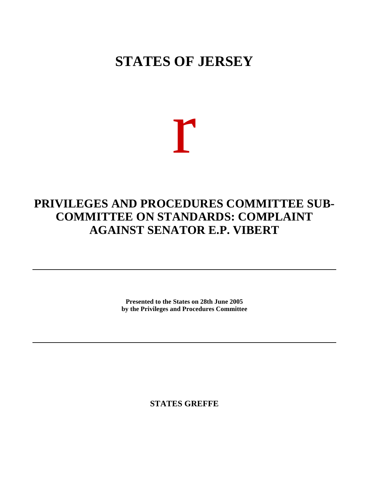## **STATES OF JERSEY**

# r

### **PRIVILEGES AND PROCEDURES COMMITTEE SUB-COMMITTEE ON STANDARDS: COMPLAINT AGAINST SENATOR E.P. VIBERT**

**Presented to the States on 28th June 2005 by the Privileges and Procedures Committee**

**STATES GREFFE**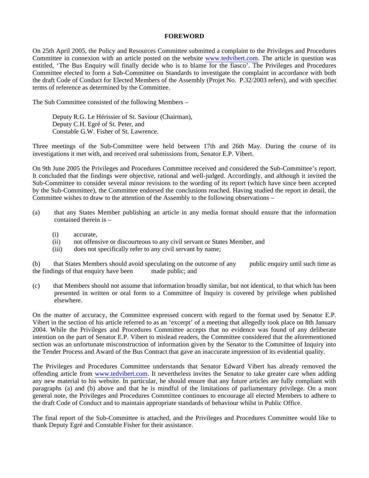#### **FOREWORD**

On 25th April 2005, the Policy and Resources Committee submitted a complaint to the Privileges and Procedures Committee in connexion with an article posted on the website <www.tedvibert.com>. The article in question was entitled, 'The Bus Enquiry will finally decide who is to blame for the fiasco'. The Privileges and Procedures Committee elected to form a Sub-Committee on Standards to investigate the complaint in accordance with both the draft Code of Conduct for Elected Members of the Assembly (Projet No. P.32/2003 refers), and with specified terms of reference as determined by the Committee.

The Sub Committee consisted of the following Members –

 Deputy R.G. Le Hérissier of St. Saviour (Chairman), Deputy C.H. Egré of St. Peter, and Constable G.W. Fisher of St. Lawrence.

Three meetings of the Sub-Committee were held between 17th and 26th May. During the course of its investigations it met with, and received oral submissions from, Senator E.P. Vibert.

On 9th June 2005 the Privileges and Procedures Committee received and considered the Sub-Committee's report. It concluded that the findings were objective, rational and well-judged. Accordingly, and although it invited the Sub-Committee to consider several minor revisions to the wording of its report (which have since been accepted by the Sub-Committee), the Committee endorsed the conclusions reached. Having studied the report in detail, the Committee wishes to draw to the attention of the Assembly to the following observations –

- (a) that any States Member publishing an article in any media format should ensure that the information contained therein is –
	- (i) accurate,
	- (ii) not offensive or discourteous to any civil servant or States Member, and
	- (iii) does not specifically refer to any civil servant by name;

(b) that States Members should avoid speculating on the outcome of any public enquiry until such time as the findings of that enquiry have been made public; and

(c) that Members should not assume that information broadly similar, but not identical, to that which has been presented in written or oral form to a Committee of Inquiry is covered by privilege when published elsewhere.

On the matter of accuracy, the Committee expressed concern with regard to the format used by Senator E.P. Vibert in the section of his article referred to as an 'excerpt' of a meeting that allegedly took place on 8th January 2004. While the Privileges and Procedures Committee accepts that no evidence was found of any deliberate intention on the part of Senator E.P. Vibert to mislead readers, the Committee considered that the aforementioned section was an unfortunate misconstruction of information given by the Senator to the Committee of Inquiry into the Tender Process and Award of the Bus Contract that gave an inaccurate impression of its evidential quality.

The Privileges and Procedures Committee understands that Senator Edward Vibert has already removed the offending article from <www.tedvibert.com>. It nevertheless invites the Senator to take greater care when adding any new material to his website. In particular, he should ensure that any future articles are fully compliant with paragraphs (a) and (b) above and that he is mindful of the limitations of parliamentary privilege. On a more general note, the Privileges and Procedures Committee continues to encourage all elected Members to adhere to the draft Code of Conduct and to maintain appropriate standards of behaviour whilst in Public Office.

The final report of the Sub-Committee is attached, and the Privileges and Procedures Committee would like to thank Deputy Egré and Constable Fisher for their assistance.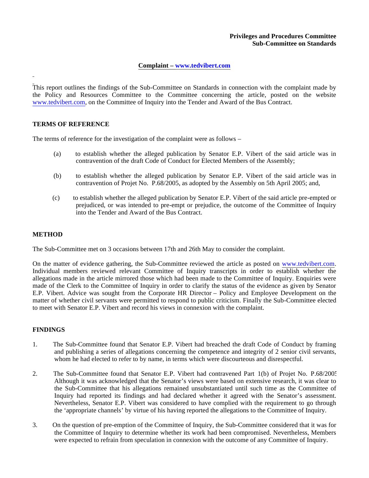#### **Privileges and Procedures Committee Sub-Committee on Standards**

#### **Complaint – www.tedvibert.com**

This report outlines the findings of the Sub-Committee on Standards in connection with the complaint made by the Policy and Resources Committee to the Committee concerning the article, posted on the website <www.tedvibert.com>, on the Committee of Inquiry into the Tender and Award of the Bus Contract.

#### **TERMS OF REFERENCE**

The terms of reference for the investigation of the complaint were as follows –

- (a) to establish whether the alleged publication by Senator E.P. Vibert of the said article was in contravention of the draft Code of Conduct for Elected Members of the Assembly;
- (b) to establish whether the alleged publication by Senator E.P. Vibert of the said article was in contravention of Projet No. P.68/2005, as adopted by the Assembly on 5th April 2005; and,
- (c) to establish whether the alleged publication by Senator E.P. Vibert of the said article pre-empted or prejudiced, or was intended to pre-empt or prejudice, the outcome of the Committee of Inquiry into the Tender and Award of the Bus Contract.

#### **METHOD**

The Sub-Committee met on 3 occasions between 17th and 26th May to consider the complaint.

On the matter of evidence gathering, the Sub-Committee reviewed the article as posted on <www.tedvibert.com>. Individual members reviewed relevant Committee of Inquiry transcripts in order to establish whether the allegations made in the article mirrored those which had been made to the Committee of Inquiry. Enquiries were made of the Clerk to the Committee of Inquiry in order to clarify the status of the evidence as given by Senator E.P. Vibert. Advice was sought from the Corporate HR Director – Policy and Employee Development on the matter of whether civil servants were permitted to respond to public criticism. Finally the Sub-Committee elected to meet with Senator E.P. Vibert and record his views in connexion with the complaint.

#### **FINDINGS**

- 1. The Sub-Committee found that Senator E.P. Vibert had breached the draft Code of Conduct by framing and publishing a series of allegations concerning the competence and integrity of 2 senior civil servants, whom he had elected to refer to by name, in terms which were discourteous and disrespectful.
- 2. The Sub-Committee found that Senator E.P. Vibert had contravened Part 1(b) of Projet No. P.68/2005. Although it was acknowledged that the Senator's views were based on extensive research, it was clear to the Sub-Committee that his allegations remained unsubstantiated until such time as the Committee of Inquiry had reported its findings and had declared whether it agreed with the Senator's assessment. Nevertheless, Senator E.P. Vibert was considered to have complied with the requirement to go through the 'appropriate channels' by virtue of his having reported the allegations to the Committee of Inquiry.
- 3. On the question of pre-emption of the Committee of Inquiry, the Sub-Committee considered that it was for the Committee of Inquiry to determine whether its work had been compromised. Nevertheless, Members were expected to refrain from speculation in connexion with the outcome of any Committee of Inquiry.